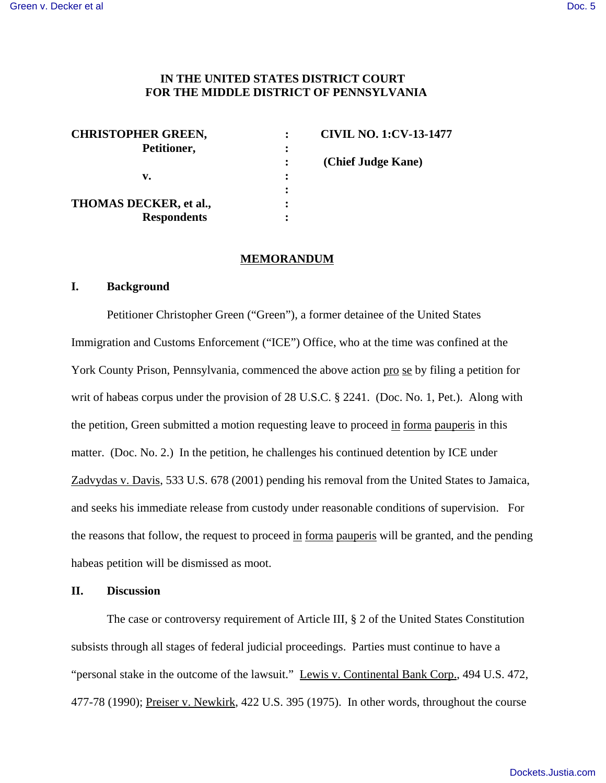### **IN THE UNITED STATES DISTRICT COURT FOR THE MIDDLE DISTRICT OF PENNSYLVANIA**

| <b>CHRISTOPHER GREEN,</b> |   | <b>CIVIL NO. 1:CV-13-1477</b> |
|---------------------------|---|-------------------------------|
| Petitioner,               | : |                               |
|                           |   | (Chief Judge Kane)            |
| v.                        | ٠ |                               |
|                           |   |                               |
| THOMAS DECKER, et al.,    | ٠ |                               |
| <b>Respondents</b>        |   |                               |

#### **MEMORANDUM**

#### **I. Background**

Petitioner Christopher Green ("Green"), a former detainee of the United States Immigration and Customs Enforcement ("ICE") Office, who at the time was confined at the York County Prison, Pennsylvania, commenced the above action pro se by filing a petition for writ of habeas corpus under the provision of 28 U.S.C. § 2241. (Doc. No. 1, Pet.). Along with the petition, Green submitted a motion requesting leave to proceed in forma pauperis in this matter. (Doc. No. 2.) In the petition, he challenges his continued detention by ICE under Zadvydas v. Davis, 533 U.S. 678 (2001) pending his removal from the United States to Jamaica, and seeks his immediate release from custody under reasonable conditions of supervision. For the reasons that follow, the request to proceed in forma pauperis will be granted, and the pending habeas petition will be dismissed as moot.

#### **II. Discussion**

The case or controversy requirement of Article III, § 2 of the United States Constitution subsists through all stages of federal judicial proceedings. Parties must continue to have a "personal stake in the outcome of the lawsuit." Lewis v. Continental Bank Corp., 494 U.S. 472, 477-78 (1990); Preiser v. Newkirk, 422 U.S. 395 (1975). In other words, throughout the course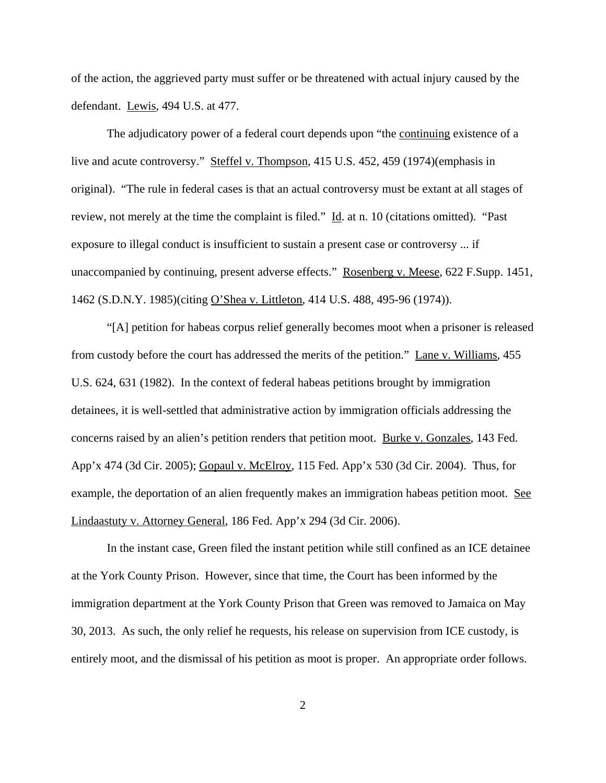of the action, the aggrieved party must suffer or be threatened with actual injury caused by the defendant. Lewis, 494 U.S. at 477.

The adjudicatory power of a federal court depends upon "the continuing existence of a live and acute controversy." Steffel v. Thompson, 415 U.S. 452, 459 (1974)(emphasis in original). "The rule in federal cases is that an actual controversy must be extant at all stages of review, not merely at the time the complaint is filed." Id. at n. 10 (citations omitted). "Past exposure to illegal conduct is insufficient to sustain a present case or controversy ... if unaccompanied by continuing, present adverse effects." Rosenberg v. Meese, 622 F.Supp. 1451, 1462 (S.D.N.Y. 1985)(citing O'Shea v. Littleton, 414 U.S. 488, 495-96 (1974)).

"[A] petition for habeas corpus relief generally becomes moot when a prisoner is released from custody before the court has addressed the merits of the petition." Lane v. Williams, 455 U.S. 624, 631 (1982). In the context of federal habeas petitions brought by immigration detainees, it is well-settled that administrative action by immigration officials addressing the concerns raised by an alien's petition renders that petition moot. Burke v. Gonzales, 143 Fed. App'x 474 (3d Cir. 2005); Gopaul v. McElroy, 115 Fed. App'x 530 (3d Cir. 2004). Thus, for example, the deportation of an alien frequently makes an immigration habeas petition moot. See Lindaastuty v. Attorney General, 186 Fed. App'x 294 (3d Cir. 2006).

In the instant case, Green filed the instant petition while still confined as an ICE detainee at the York County Prison. However, since that time, the Court has been informed by the immigration department at the York County Prison that Green was removed to Jamaica on May 30, 2013. As such, the only relief he requests, his release on supervision from ICE custody, is entirely moot, and the dismissal of his petition as moot is proper. An appropriate order follows.